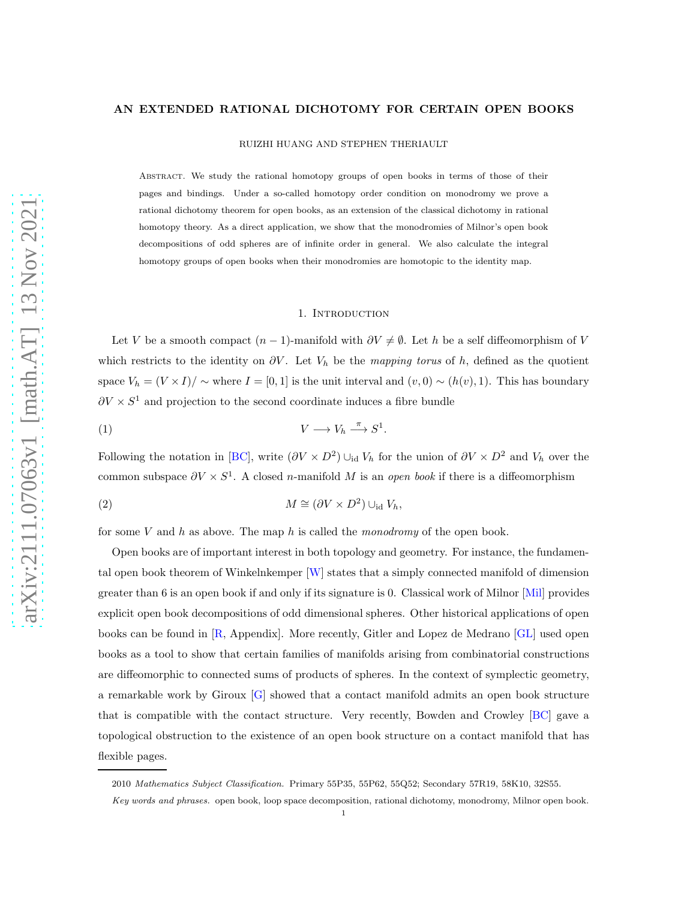### AN EXTENDED RATIONAL DICHOTOMY FOR CERTAIN OPEN BOOKS

RUIZHI HUANG AND STEPHEN THERIAULT

Abstract. We study the rational homotopy groups of open books in terms of those of their pages and bindings. Under a so-called homotopy order condition on monodromy we prove a rational dichotomy theorem for open books, as an extension of the classical dichotomy in rational homotopy theory. As a direct application, we show that the monodromies of Milnor's open book decompositions of odd spheres are of infinite order in general. We also calculate the integral homotopy groups of open books when their monodromies are homotopic to the identity map.

#### 1. INTRODUCTION

Let V be a smooth compact  $(n-1)$ -manifold with  $\partial V \neq \emptyset$ . Let h be a self diffeomorphism of V which restricts to the identity on  $\partial V$ . Let  $V_h$  be the mapping torus of h, defined as the quotient space  $V_h = (V \times I)/\sim$  where  $I = [0, 1]$  is the unit interval and  $(v, 0) \sim (h(v), 1)$ . This has boundary  $\partial V \times S^1$  and projection to the second coordinate induces a fibre bundle

$$
(1) \t\t V \longrightarrow V_h \xrightarrow{\pi} S^1
$$

Following the notation in [\[BC\]](#page-12-0), write  $(\partial V \times D^2) \cup_{\text{id}} V_h$  for the union of  $\partial V \times D^2$  and  $V_h$  over the common subspace  $\partial V \times S^1$ . A closed n-manifold M is an *open book* if there is a diffeomorphism

<span id="page-0-1"></span><span id="page-0-0"></span>.

(2) 
$$
M \cong (\partial V \times D^2) \cup_{\text{id}} V_h,
$$

for some V and h as above. The map h is called the monodromy of the open book.

Open books are of important interest in both topology and geometry. For instance, the fundamental open book theorem of Winkelnkemper [\[W\]](#page-13-0) states that a simply connected manifold of dimension greater than 6 is an open book if and only if its signature is 0. Classical work of Milnor [\[Mil\]](#page-13-1) provides explicit open book decompositions of odd dimensional spheres. Other historical applications of open books can be found in [\[R,](#page-13-2) Appendix]. More recently, Gitler and Lopez de Medrano [\[GL\]](#page-12-1) used open books as a tool to show that certain families of manifolds arising from combinatorial constructions are diffeomorphic to connected sums of products of spheres. In the context of symplectic geometry, a remarkable work by Giroux [\[G\]](#page-12-2) showed that a contact manifold admits an open book structure that is compatible with the contact structure. Very recently, Bowden and Crowley [\[BC\]](#page-12-0) gave a topological obstruction to the existence of an open book structure on a contact manifold that has flexible pages.

2010 Mathematics Subject Classification. Primary 55P35, 55P62, 55Q52; Secondary 57R19, 58K10, 32S55.

Key words and phrases. open book, loop space decomposition, rational dichotomy, monodromy, Milnor open book.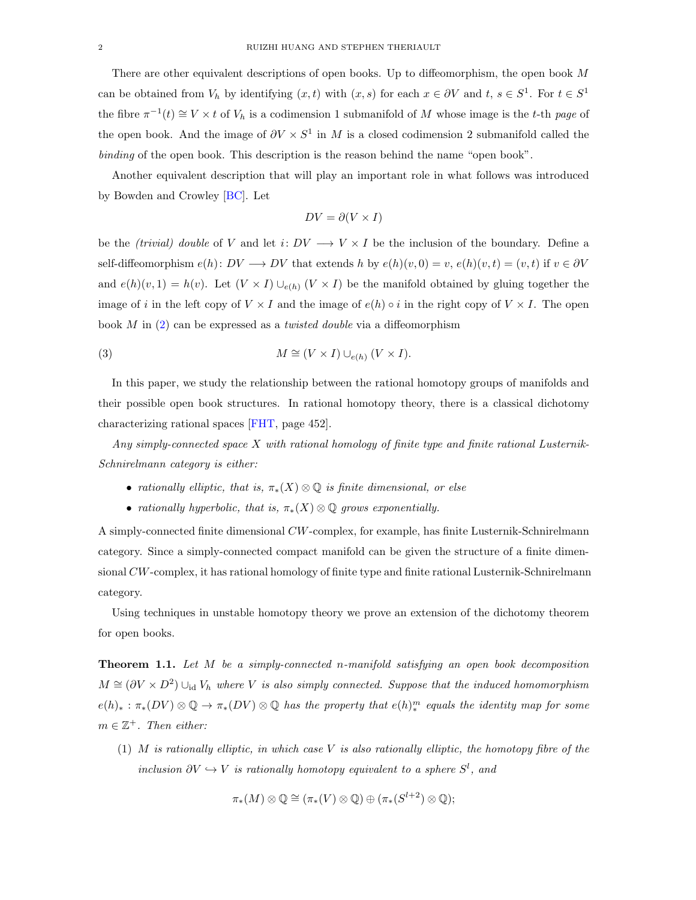There are other equivalent descriptions of open books. Up to diffeomorphism, the open book M can be obtained from  $V_h$  by identifying  $(x, t)$  with  $(x, s)$  for each  $x \in \partial V$  and  $t, s \in S^1$ . For  $t \in S^1$ the fibre  $\pi^{-1}(t) \cong V \times t$  of  $V_h$  is a codimension 1 submanifold of M whose image is the t-th page of the open book. And the image of  $\partial V \times S^1$  in M is a closed codimension 2 submanifold called the binding of the open book. This description is the reason behind the name "open book".

Another equivalent description that will play an important role in what follows was introduced by Bowden and Crowley [\[BC\]](#page-12-0). Let

<span id="page-1-1"></span>
$$
DV = \partial (V \times I)
$$

be the (trivial) double of V and let i:  $DV \longrightarrow V \times I$  be the inclusion of the boundary. Define a self-diffeomorphism  $e(h): DV \longrightarrow DV$  that extends h by  $e(h)(v, 0) = v$ ,  $e(h)(v, t) = (v, t)$  if  $v \in \partial V$ and  $e(h)(v, 1) = h(v)$ . Let  $(V \times I) \cup_{e(h)} (V \times I)$  be the manifold obtained by gluing together the image of i in the left copy of  $V \times I$  and the image of  $e(h) \circ i$  in the right copy of  $V \times I$ . The open book  $M$  in  $(2)$  can be expressed as a *twisted double* via a diffeomorphism

(3) 
$$
M \cong (V \times I) \cup_{e(h)} (V \times I).
$$

In this paper, we study the relationship between the rational homotopy groups of manifolds and their possible open book structures. In rational homotopy theory, there is a classical dichotomy characterizing rational spaces [\[FHT,](#page-12-3) page 452].

Any simply-connected space X with rational homology of finite type and finite rational Lusternik-Schnirelmann category is either:

- rationally elliptic, that is,  $\pi_*(X) \otimes \mathbb{Q}$  is finite dimensional, or else
- rationally hyperbolic, that is,  $\pi_*(X) \otimes \mathbb{Q}$  grows exponentially.

A simply-connected finite dimensional CW-complex, for example, has finite Lusternik-Schnirelmann category. Since a simply-connected compact manifold can be given the structure of a finite dimensional CW-complex, it has rational homology of finite type and finite rational Lusternik-Schnirelmann category.

Using techniques in unstable homotopy theory we prove an extension of the dichotomy theorem for open books.

<span id="page-1-0"></span>**Theorem 1.1.** Let M be a simply-connected n-manifold satisfying an open book decomposition  $M \cong (\partial V \times D^2) \cup_{\text{id}} V_h$  where V is also simply connected. Suppose that the induced homomorphism  $e(h)_*: \pi_*(DV) \otimes \mathbb{Q} \to \pi_*(DV) \otimes \mathbb{Q}$  has the property that  $e(h)^m_*$  equals the identity map for some  $m \in \mathbb{Z}^+$ . Then either:

(1) M is rationally elliptic, in which case V is also rationally elliptic, the homotopy fibre of the inclusion  $\partial V \hookrightarrow V$  is rationally homotopy equivalent to a sphere  $S^l$ , and

$$
\pi_*(M) \otimes \mathbb{Q} \cong (\pi_*(V) \otimes \mathbb{Q}) \oplus (\pi_*(S^{l+2}) \otimes \mathbb{Q});
$$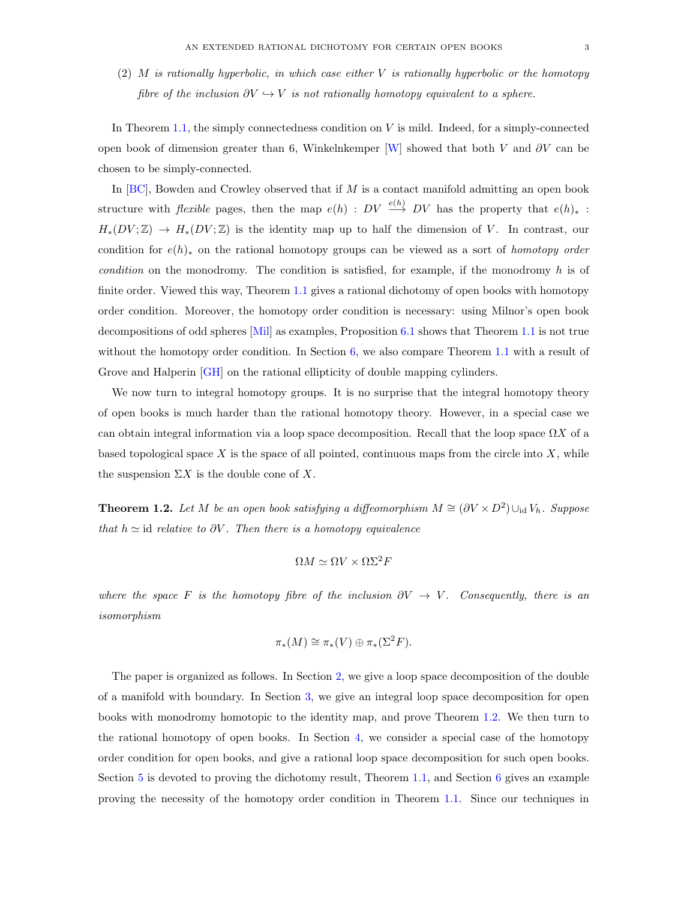$(2)$  M is rationally hyperbolic, in which case either V is rationally hyperbolic or the homotopy fibre of the inclusion  $\partial V \hookrightarrow V$  is not rationally homotopy equivalent to a sphere.

In Theorem [1.1,](#page-1-0) the simply connectedness condition on  $V$  is mild. Indeed, for a simply-connected open book of dimension greater than 6, Winkelnkemper [\[W\]](#page-13-0) showed that both V and  $\partial V$  can be chosen to be simply-connected.

In  $[BC]$ , Bowden and Crowley observed that if M is a contact manifold admitting an open book structure with *flexible* pages, then the map  $e(h)$ :  $DV \stackrel{e(h)}{\longrightarrow} DV$  has the property that  $e(h)_*$ :  $H_*(DV;\mathbb{Z}) \to H_*(DV;\mathbb{Z})$  is the identity map up to half the dimension of V. In contrast, our condition for  $e(h)$ <sup>\*</sup> on the rational homotopy groups can be viewed as a sort of *homotopy order* condition on the monodromy. The condition is satisfied, for example, if the monodromy  $h$  is of finite order. Viewed this way, Theorem [1.1](#page-1-0) gives a rational dichotomy of open books with homotopy order condition. Moreover, the homotopy order condition is necessary: using Milnor's open book decompositions of odd spheres [\[Mil\]](#page-13-1) as examples, Proposition [6.1](#page-11-0) shows that Theorem [1.1](#page-1-0) is not true without the homotopy order condition. In Section  $6$ , we also compare Theorem [1.1](#page-1-0) with a result of Grove and Halperin [\[GH\]](#page-13-3) on the rational ellipticity of double mapping cylinders.

We now turn to integral homotopy groups. It is no surprise that the integral homotopy theory of open books is much harder than the rational homotopy theory. However, in a special case we can obtain integral information via a loop space decomposition. Recall that the loop space  $\Omega X$  of a based topological space X is the space of all pointed, continuous maps from the circle into  $X$ , while the suspension  $\Sigma X$  is the double cone of X.

<span id="page-2-0"></span>**Theorem 1.2.** Let M be an open book satisfying a diffeomorphism  $M \cong (\partial V \times D^2) \cup_{\text{id}} V_h$ . Suppose that  $h \simeq$  id relative to  $\partial V$ . Then there is a homotopy equivalence

$$
\Omega M \simeq \Omega V \times \Omega \Sigma^2 F
$$

where the space F is the homotopy fibre of the inclusion  $\partial V \to V$ . Consequently, there is an isomorphism

$$
\pi_*(M) \cong \pi_*(V) \oplus \pi_*(\Sigma^2 F).
$$

The paper is organized as follows. In Section [2,](#page-3-0) we give a loop space decomposition of the double of a manifold with boundary. In Section [3,](#page-4-0) we give an integral loop space decomposition for open books with monodromy homotopic to the identity map, and prove Theorem [1.2.](#page-2-0) We then turn to the rational homotopy of open books. In Section [4,](#page-6-0) we consider a special case of the homotopy order condition for open books, and give a rational loop space decomposition for such open books. Section [5](#page-8-0) is devoted to proving the dichotomy result, Theorem [1.1,](#page-1-0) and Section [6](#page-10-0) gives an example proving the necessity of the homotopy order condition in Theorem [1.1.](#page-1-0) Since our techniques in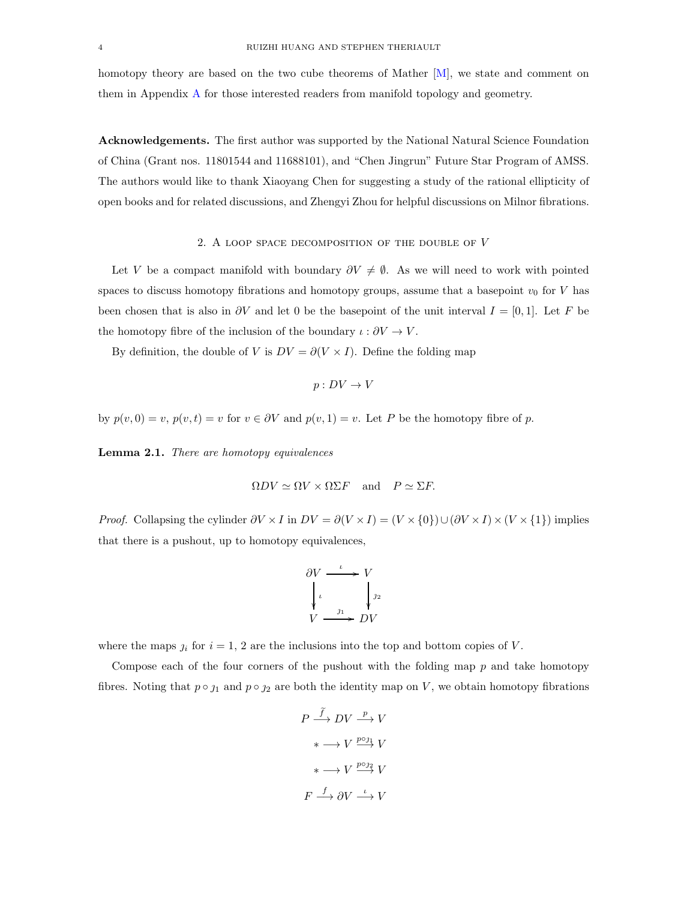homotopy theory are based on the two cube theorems of Mather [\[M\]](#page-13-4), we state and comment on them in Appendix [A](#page-12-4) for those interested readers from manifold topology and geometry.

Acknowledgements. The first author was supported by the National Natural Science Foundation of China (Grant nos. 11801544 and 11688101), and "Chen Jingrun" Future Star Program of AMSS. The authors would like to thank Xiaoyang Chen for suggesting a study of the rational ellipticity of open books and for related discussions, and Zhengyi Zhou for helpful discussions on Milnor fibrations.

## 2. A LOOP SPACE DECOMPOSITION OF THE DOUBLE OF  $V$

<span id="page-3-0"></span>Let V be a compact manifold with boundary  $\partial V \neq \emptyset$ . As we will need to work with pointed spaces to discuss homotopy fibrations and homotopy groups, assume that a basepoint  $v_0$  for V has been chosen that is also in  $\partial V$  and let 0 be the basepoint of the unit interval  $I = [0, 1]$ . Let F be the homotopy fibre of the inclusion of the boundary  $\iota : \partial V \to V$ .

By definition, the double of V is  $DV = \partial(V \times I)$ . Define the folding map

$$
p: DV \to V
$$

by  $p(v, 0) = v$ ,  $p(v, t) = v$  for  $v \in \partial V$  and  $p(v, 1) = v$ . Let P be the homotopy fibre of p.

<span id="page-3-1"></span>Lemma 2.1. There are homotopy equivalences

$$
\Omega DV \simeq \Omega V \times \Omega \Sigma F \quad \text{and} \quad P \simeq \Sigma F.
$$

*Proof.* Collapsing the cylinder  $\partial V \times I$  in  $DV = \partial (V \times I) = (V \times \{0\}) \cup (\partial V \times I) \times (V \times \{1\})$  implies that there is a pushout, up to homotopy equivalences,

$$
\begin{array}{ccc}\n\frac{\partial V & \xrightarrow{\iota} & V \\
\downarrow{\iota} & & \downarrow{\iota} \\
V & \xrightarrow{\jmath_1} & DV\n\end{array}
$$

where the maps  $j_i$  for  $i = 1, 2$  are the inclusions into the top and bottom copies of V.

Compose each of the four corners of the pushout with the folding map  $p$  and take homotopy fibres. Noting that  $p \circ j_1$  and  $p \circ j_2$  are both the identity map on V, we obtain homotopy fibrations

$$
P \xrightarrow{\widetilde{f}} DV \xrightarrow{p} V
$$

$$
* \longrightarrow V \xrightarrow{p \circ j_1} V
$$

$$
* \longrightarrow V \xrightarrow{p \circ j_2} V
$$

$$
F \xrightarrow{f} \partial V \xrightarrow{\iota} V
$$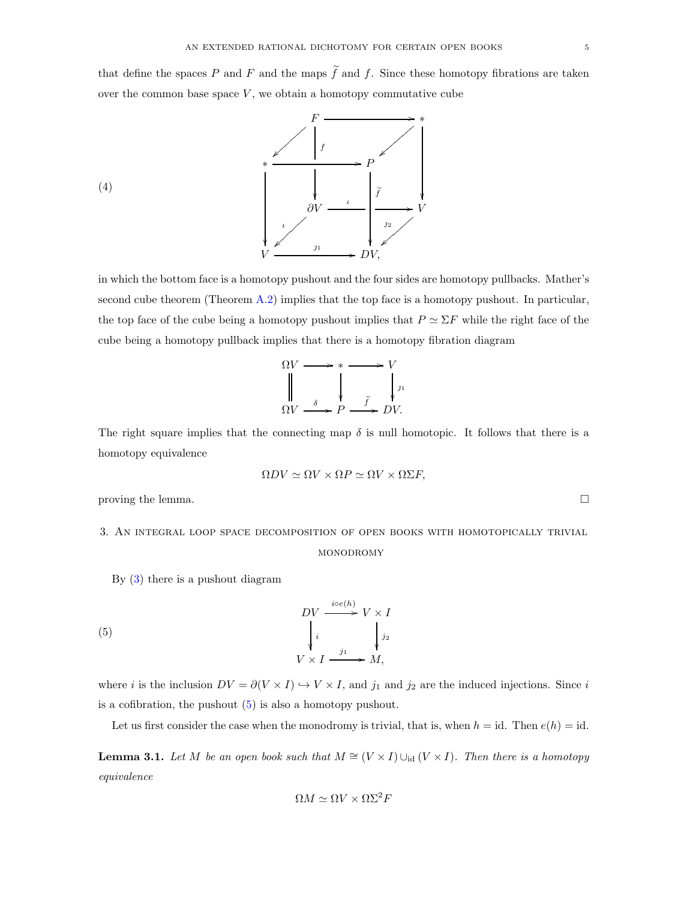that define the spaces P and F and the maps  $\tilde{f}$  and f. Since these homotopy fibrations are taken over the common base space  $V$ , we obtain a homotopy commutative cube



in which the bottom face is a homotopy pushout and the four sides are homotopy pullbacks. Mather's second cube theorem (Theorem [A.2\)](#page-12-5) implies that the top face is a homotopy pushout. In particular, the top face of the cube being a homotopy pushout implies that  $P \simeq \Sigma F$  while the right face of the cube being a homotopy pullback implies that there is a homotopy fibration diagram

$$
\Omega V \longrightarrow * \longrightarrow V
$$
  
\n
$$
\parallel \qquad \qquad \downarrow \qquad \qquad V
$$
  
\n
$$
\Omega V \longrightarrow^{\delta} P \longrightarrow^{\tilde{f}} DV.
$$

The right square implies that the connecting map  $\delta$  is null homotopic. It follows that there is a homotopy equivalence

$$
\Omega DV \simeq \Omega V \times \Omega P \simeq \Omega V \times \Omega \Sigma F,
$$

<span id="page-4-0"></span>proving the lemma.  $\Box$ 

3. An integral loop space decomposition of open books with homotopically trivial

## <span id="page-4-1"></span>**MONODROMY**

By [\(3\)](#page-1-1) there is a pushout diagram

(5) 
$$
DV \xrightarrow{i \circ e(h)} V \times I
$$

$$
\downarrow i \qquad \qquad \downarrow j_1
$$

$$
V \times I \xrightarrow{j_1} M,
$$

where *i* is the inclusion  $DV = \partial(V \times I) \hookrightarrow V \times I$ , and  $j_1$  and  $j_2$  are the induced injections. Since *i* is a cofibration, the pushout [\(5\)](#page-4-1) is also a homotopy pushout.

Let us first consider the case when the monodromy is trivial, that is, when  $h = id$ . Then  $e(h) = id$ .

<span id="page-4-2"></span>**Lemma 3.1.** Let M be an open book such that  $M \cong (V \times I) \cup_{\text{id}} (V \times I)$ . Then there is a homotopy equivalence

$$
\Omega M \simeq \Omega V \times \Omega \Sigma^2 F
$$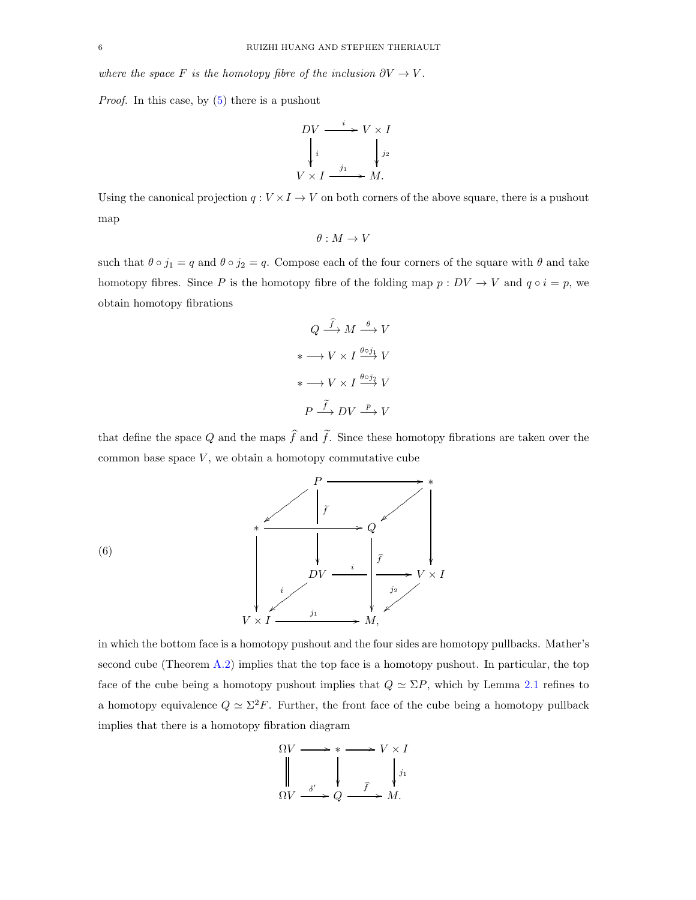where the space F is the homotopy fibre of the inclusion  $\partial V \to V$ .

Proof. In this case, by [\(5\)](#page-4-1) there is a pushout

$$
DV \xrightarrow{i} V \times I
$$
  
\n
$$
\downarrow i \qquad \qquad \downarrow j_2
$$
  
\n
$$
V \times I \xrightarrow{j_1} M.
$$

Using the canonical projection  $q: V \times I \to V$  on both corners of the above square, there is a pushout map

$$
\theta:M\to V
$$

such that  $\theta \circ j_1 = q$  and  $\theta \circ j_2 = q$ . Compose each of the four corners of the square with  $\theta$  and take homotopy fibres. Since P is the homotopy fibre of the folding map  $p: DV \to V$  and  $q \circ i = p$ , we obtain homotopy fibrations

$$
Q \xrightarrow{\widehat{f}} M \xrightarrow{\theta} V
$$

$$
* \longrightarrow V \times I \xrightarrow{\theta \circ j_1} V
$$

$$
* \longrightarrow V \times I \xrightarrow{\theta \circ j_2} V
$$

$$
P \xrightarrow{\widetilde{f}} DV \xrightarrow{p} V
$$

that define the space Q and the maps  $\hat{f}$  and  $\tilde{f}$ . Since these homotopy fibrations are taken over the common base space  $V$ , we obtain a homotopy commutative cube



(6)

in which the bottom face is a homotopy pushout and the four sides are homotopy pullbacks. Mather's second cube (Theorem [A.2\)](#page-12-5) implies that the top face is a homotopy pushout. In particular, the top face of the cube being a homotopy pushout implies that  $Q \simeq \Sigma P$ , which by Lemma [2.1](#page-3-1) refines to a homotopy equivalence  $Q \simeq \Sigma^2 F$ . Further, the front face of the cube being a homotopy pullback implies that there is a homotopy fibration diagram

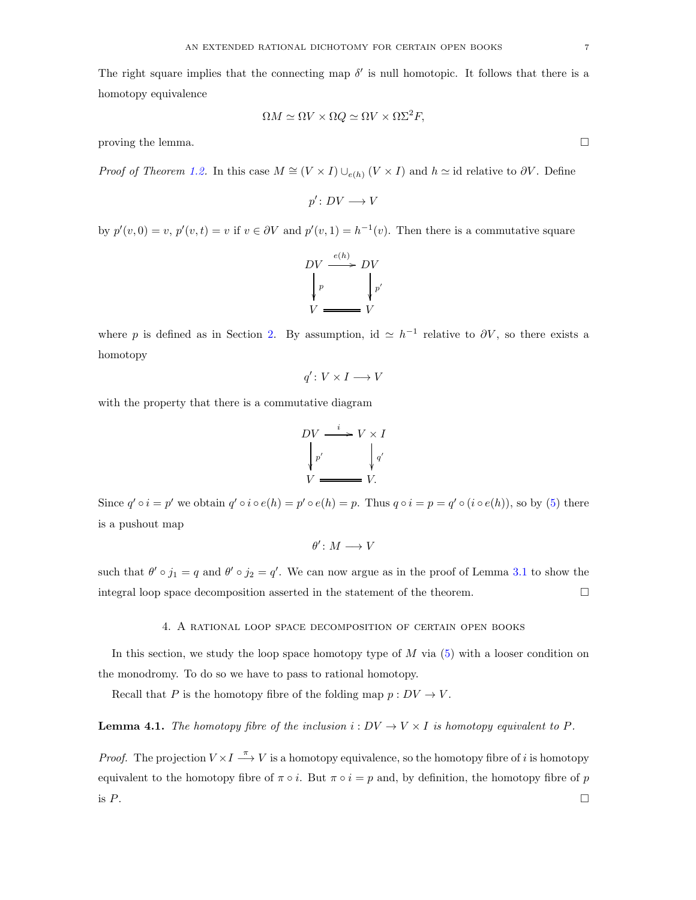The right square implies that the connecting map  $\delta'$  is null homotopic. It follows that there is a homotopy equivalence

$$
\Omega M \simeq \Omega V \times \Omega Q \simeq \Omega V \times \Omega \Sigma^2 F,
$$

proving the lemma.  $\Box$ 

*Proof of Theorem [1.2.](#page-2-0)* In this case  $M \cong (V \times I) \cup_{e(h)} (V \times I)$  and  $h \cong$  id relative to  $\partial V$ . Define

$$
p'\colon DV\longrightarrow V
$$

by  $p'(v, 0) = v$ ,  $p'(v, t) = v$  if  $v \in \partial V$  and  $p'(v, 1) = h^{-1}(v)$ . Then there is a commutative square



where p is defined as in Section [2.](#page-3-0) By assumption, id  $\simeq h^{-1}$  relative to  $\partial V$ , so there exists a homotopy

$$
q'\colon V\times I\longrightarrow V
$$

with the property that there is a commutative diagram

$$
DV \xrightarrow{i} V \times I
$$

$$
\downarrow p'
$$

$$
V \xrightarrow{p'} V.
$$

Since  $q' \circ i = p'$  we obtain  $q' \circ i \circ e(h) = p' \circ e(h) = p$ . Thus  $q \circ i = p = q' \circ (i \circ e(h))$ , so by [\(5\)](#page-4-1) there is a pushout map

$$
\theta'\colon M\longrightarrow V
$$

<span id="page-6-0"></span>such that  $\theta' \circ j_1 = q$  and  $\theta' \circ j_2 = q'$ . We can now argue as in the proof of Lemma [3.1](#page-4-2) to show the integral loop space decomposition asserted in the statement of the theorem.  $\Box$ 

### 4. A rational loop space decomposition of certain open books

In this section, we study the loop space homotopy type of  $M$  via  $(5)$  with a looser condition on the monodromy. To do so we have to pass to rational homotopy.

Recall that P is the homotopy fibre of the folding map  $p: DV \to V$ .

# <span id="page-6-1"></span>**Lemma 4.1.** The homotopy fibre of the inclusion  $i: DV \to V \times I$  is homotopy equivalent to P.

*Proof.* The projection  $V \times I \stackrel{\pi}{\longrightarrow} V$  is a homotopy equivalence, so the homotopy fibre of i is homotopy equivalent to the homotopy fibre of  $\pi \circ i$ . But  $\pi \circ i = p$  and, by definition, the homotopy fibre of p is  $P$ .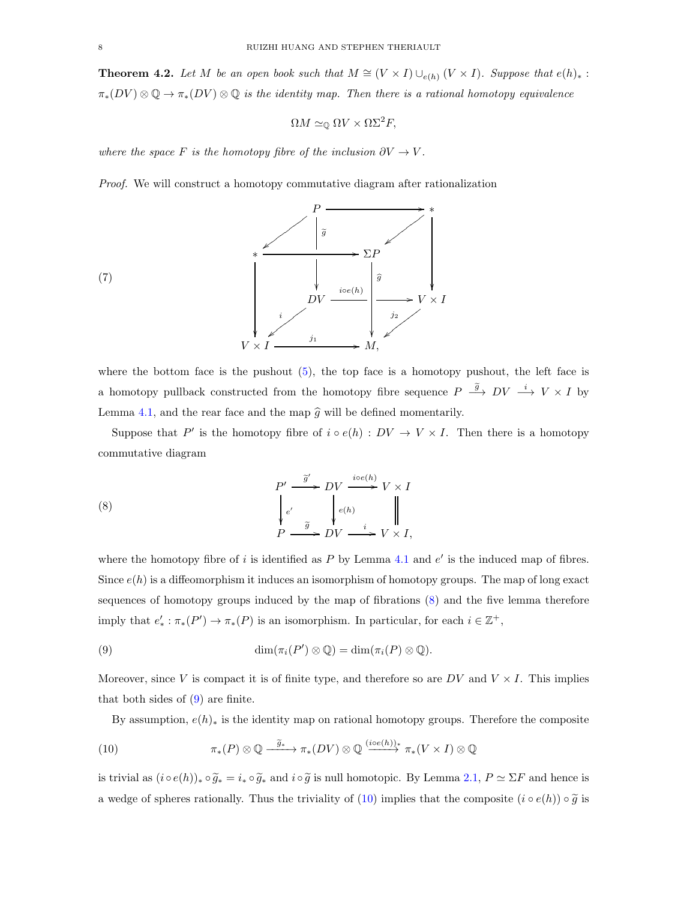<span id="page-7-4"></span>**Theorem 4.2.** Let M be an open book such that  $M \cong (V \times I) \cup_{e(h)} (V \times I)$ . Suppose that  $e(h)_*$ :  $\pi_*(DV) \otimes \mathbb{Q} \to \pi_*(DV) \otimes \mathbb{Q}$  is the identity map. Then there is a rational homotopy equivalence

$$
\Omega M \simeq_{\mathbb{Q}} \Omega V \times \Omega \Sigma^2 F,
$$

where the space F is the homotopy fibre of the inclusion  $\partial V \to V$ .

Proof. We will construct a homotopy commutative diagram after rationalization



where the bottom face is the pushout  $(5)$ , the top face is a homotopy pushout, the left face is a homotopy pullback constructed from the homotopy fibre sequence  $P \stackrel{\tilde{g}}{\longrightarrow} DV \stackrel{i}{\longrightarrow} V \times I$  by Lemma [4.1,](#page-6-1) and the rear face and the map  $\hat{g}$  will be defined momentarily.

Suppose that P' is the homotopy fibre of  $i \circ e(h) : DV \to V \times I$ . Then there is a homotopy commutative diagram

<span id="page-7-0"></span>(8) 
$$
\begin{array}{ccc}\nP' & \xrightarrow{\widetilde{g}'} & DV & \xrightarrow{ioe(h)} V \times I \\
\downarrow e' & & \downarrow e(h) & \parallel \\
P & \xrightarrow{\widetilde{g}} & DV & \xrightarrow{i} & V \times I,\n\end{array}
$$

where the homotopy fibre of  $i$  is identified as  $P$  by Lemma [4.1](#page-6-1) and  $e'$  is the induced map of fibres. Since  $e(h)$  is a diffeomorphism it induces an isomorphism of homotopy groups. The map of long exact sequences of homotopy groups induced by the map of fibrations [\(8\)](#page-7-0) and the five lemma therefore imply that  $e'_*: \pi_*(P') \to \pi_*(P)$  is an isomorphism. In particular, for each  $i \in \mathbb{Z}^+$ ,

<span id="page-7-1"></span>(9) 
$$
\dim(\pi_i(P') \otimes \mathbb{Q}) = \dim(\pi_i(P) \otimes \mathbb{Q}).
$$

Moreover, since V is compact it is of finite type, and therefore so are  $DV$  and  $V \times I$ . This implies that both sides of [\(9\)](#page-7-1) are finite.

<span id="page-7-2"></span>By assumption,  $e(h)_*$  is the identity map on rational homotopy groups. Therefore the composite

(10) 
$$
\pi_*(P) \otimes \mathbb{Q} \xrightarrow{\widetilde{g}_*} \pi_*(DV) \otimes \mathbb{Q} \xrightarrow{(ice(h))_*} \pi_*(V \times I) \otimes \mathbb{Q}
$$

is trivial as  $(i \circ e(h))_* \circ \widetilde{g}_* = i_* \circ \widetilde{g}_*$  and  $i \circ \widetilde{g}$  is null homotopic. By Lemma [2.1,](#page-3-1)  $P \simeq \Sigma F$  and hence is a wedge of spheres rationally. Thus the triviality of [\(10\)](#page-7-2) implies that the composite  $(i \circ e(h)) \circ \widetilde{g}$  is

<span id="page-7-3"></span>(7)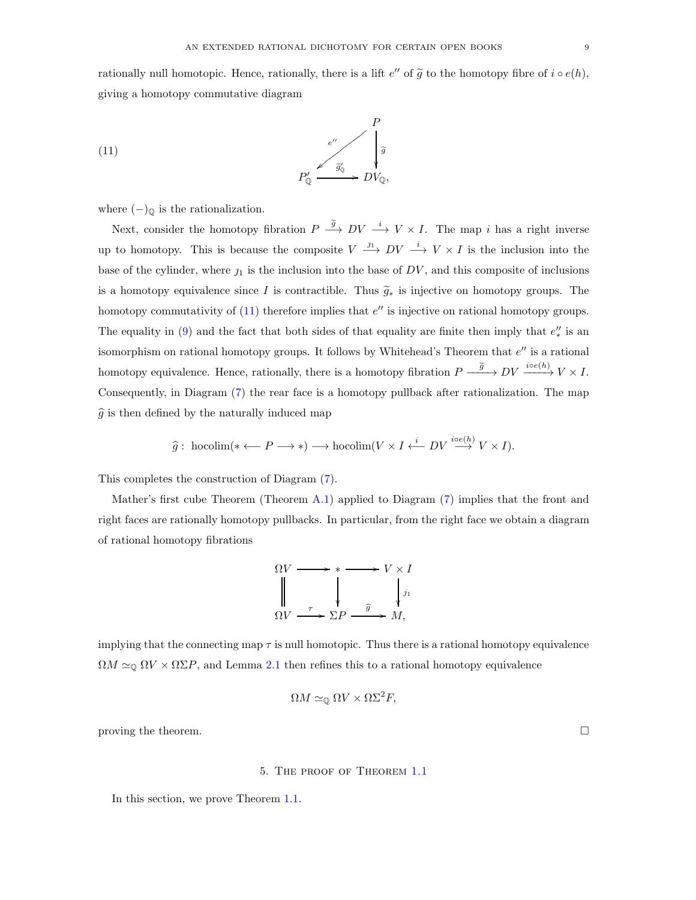rationally null homotopic. Hence, rationally, there is a lift  $e''$  of  $\tilde{g}$  to the homotopy fibre of  $i \circ e(h)$ , giving a homotopy commutative diagram

<span id="page-8-1"></span>(11) 
$$
P'_{\mathbb{Q}} \xrightarrow{e''} \begin{bmatrix} P \\ \tilde{g} \\ \tilde{g} \\ \tilde{g} \\ \tilde{g} \end{bmatrix}
$$

where  $(-)_{\mathbb{Q}}$  is the rationalization.

Next, consider the homotopy fibration  $P \stackrel{\tilde{g}}{\longrightarrow} DV \stackrel{i}{\longrightarrow} V \times I$ . The map i has a right inverse up to homotopy. This is because the composite  $V \stackrel{j_1}{\longrightarrow} DV \stackrel{i}{\longrightarrow} V \times I$  is the inclusion into the base of the cylinder, where  $j_1$  is the inclusion into the base of  $DV$ , and this composite of inclusions is a homotopy equivalence since I is contractible. Thus  $\tilde{q}_*$  is injective on homotopy groups. The homotopy commutativity of  $(11)$  therefore implies that  $e''$  is injective on rational homotopy groups. The equality in [\(9\)](#page-7-1) and the fact that both sides of that equality are finite then imply that  $e''_*$  is an isomorphism on rational homotopy groups. It follows by Whitehead's Theorem that  $e''$  is a rational homotopy equivalence. Hence, rationally, there is a homotopy fibration  $P \xrightarrow{\tilde{g}} DV \xrightarrow{ice(h)} V \times I$ . Consequently, in Diagram [\(7\)](#page-7-3) the rear face is a homotopy pullback after rationalization. The map  $\widehat{g}$  is then defined by the naturally induced map

$$
\widehat{g}:\text{hocolim}(* \leftarrow P \longrightarrow *) \longrightarrow \text{hocolim}(V \times I \xleftarrow{i} DV \stackrel{i \circ e(h)}{\longrightarrow} V \times I).
$$

This completes the construction of Diagram [\(7\)](#page-7-3).

Mather's first cube Theorem (Theorem [A.1\)](#page-12-6) applied to Diagram [\(7\)](#page-7-3) implies that the front and right faces are rationally homotopy pullbacks. In particular, from the right face we obtain a diagram of rational homotopy fibrations

$$
\Omega V \longrightarrow * \longrightarrow V \times I
$$
  
\n
$$
\downarrow \qquad \qquad V \times I
$$
  
\n
$$
\Omega V \longrightarrow \Sigma P \longrightarrow M,
$$

implying that the connecting map  $\tau$  is null homotopic. Thus there is a rational homotopy equivalence  $\Omega M \simeq_{\mathbb{Q}} \Omega V \times \Omega \Sigma P$ , and Lemma [2.1](#page-3-1) then refines this to a rational homotopy equivalence

$$
\Omega M \simeq_{\mathbb{Q}} \Omega V \times \Omega \Sigma^2 F,
$$

<span id="page-8-0"></span>proving the theorem.  $\Box$ 

### 5. The proof of Theorem [1.1](#page-1-0)

In this section, we prove Theorem [1.1.](#page-1-0)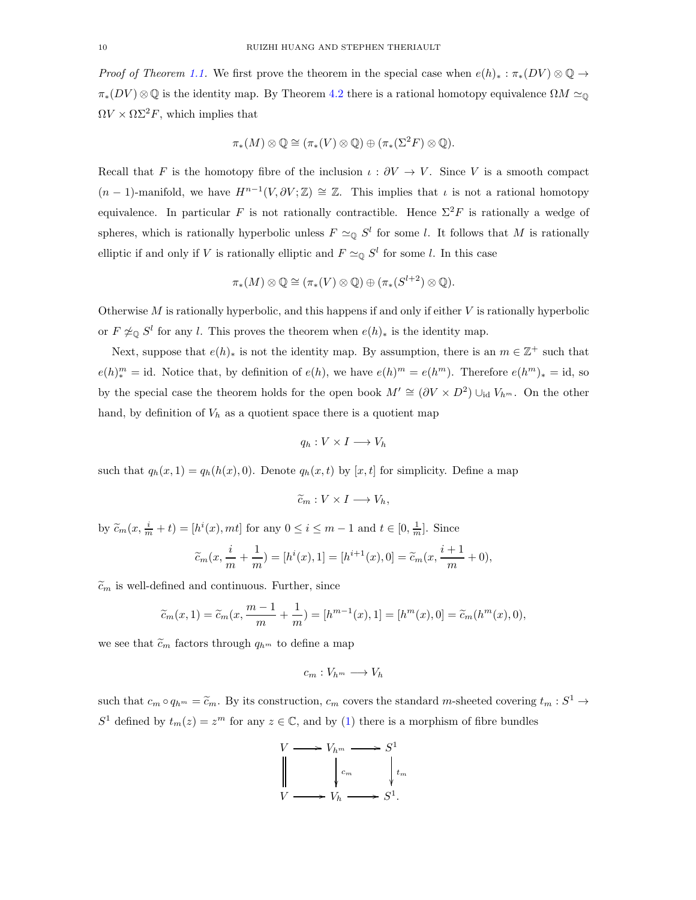*Proof of Theorem [1.1.](#page-1-0)* We first prove the theorem in the special case when  $e(h)_* : \pi_*(DV) \otimes \mathbb{Q} \to$  $\pi_*(DV) \otimes \mathbb{Q}$  is the identity map. By Theorem [4.2](#page-7-4) there is a rational homotopy equivalence  $\Omega M \simeq_{\mathbb{Q}}$  $\Omega V \times \Omega \Sigma^2 F$ , which implies that

$$
\pi_*(M) \otimes \mathbb{Q} \cong (\pi_*(V) \otimes \mathbb{Q}) \oplus (\pi_*(\Sigma^2 F) \otimes \mathbb{Q}).
$$

Recall that F is the homotopy fibre of the inclusion  $\iota : \partial V \to V$ . Since V is a smooth compact  $(n-1)$ -manifold, we have  $H^{n-1}(V, \partial V; \mathbb{Z}) \cong \mathbb{Z}$ . This implies that  $\iota$  is not a rational homotopy equivalence. In particular F is not rationally contractible. Hence  $\Sigma^2 F$  is rationally a wedge of spheres, which is rationally hyperbolic unless  $F \simeq_{\mathbb{Q}} S^l$  for some l. It follows that M is rationally elliptic if and only if V is rationally elliptic and  $F \simeq_{\mathbb{Q}} S^l$  for some l. In this case

$$
\pi_*(M) \otimes \mathbb{Q} \cong (\pi_*(V) \otimes \mathbb{Q}) \oplus (\pi_*(S^{l+2}) \otimes \mathbb{Q}).
$$

Otherwise  $M$  is rationally hyperbolic, and this happens if and only if either  $V$  is rationally hyperbolic or  $F \not\cong_{\mathbb{Q}} S^l$  for any l. This proves the theorem when  $e(h)_*$  is the identity map.

Next, suppose that  $e(h)_*$  is not the identity map. By assumption, there is an  $m \in \mathbb{Z}^+$  such that  $e(h)^m = id$ . Notice that, by definition of  $e(h)$ , we have  $e(h)^m = e(h^m)$ . Therefore  $e(h^m)_* = id$ , so by the special case the theorem holds for the open book  $M' \cong (\partial V \times D^2) \cup_{\text{id}} V_{h^m}$ . On the other hand, by definition of  $V_h$  as a quotient space there is a quotient map

$$
q_h: V \times I \longrightarrow V_h
$$

such that  $q_h(x, 1) = q_h(h(x), 0)$ . Denote  $q_h(x, t)$  by  $[x, t]$  for simplicity. Define a map

$$
\widetilde{c}_m: V \times I \longrightarrow V_h,
$$

by  $\widetilde{c}_m(x, \frac{i}{m} + t) = [h^i(x), mt]$  for any  $0 \le i \le m - 1$  and  $t \in [0, \frac{1}{m}]$ . Since

$$
\widetilde{c}_m(x, \frac{i}{m} + \frac{1}{m}) = [h^i(x), 1] = [h^{i+1}(x), 0] = \widetilde{c}_m(x, \frac{i+1}{m} + 0),
$$

 $\tilde{c}_m$  is well-defined and continuous. Further, since

$$
\widetilde{c}_m(x, 1) = \widetilde{c}_m(x, \frac{m-1}{m} + \frac{1}{m}) = [h^{m-1}(x), 1] = [h^m(x), 0] = \widetilde{c}_m(h^m(x), 0),
$$

we see that  $\tilde{c}_m$  factors through  $q_{h^m}$  to define a map

$$
c_m: V_{h^m} \longrightarrow V_h
$$

such that  $c_m \circ q_{h^m} = \tilde{c}_m$ . By its construction,  $c_m$  covers the standard m-sheeted covering  $t_m : S^1 \to$  $S<sup>1</sup>$  defined by  $t_m(z) = z<sup>m</sup>$  for any  $z \in \mathbb{C}$ , and by [\(1\)](#page-0-1) there is a morphism of fibre bundles

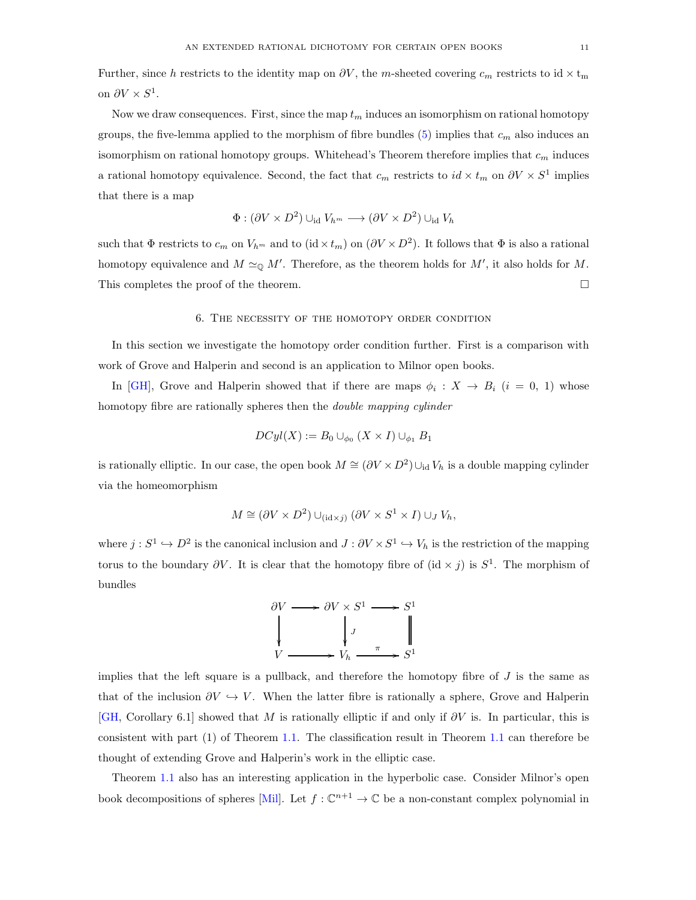Further, since h restricts to the identity map on  $\partial V$ , the m-sheeted covering  $c_m$  restricts to id  $\times$  t<sub>m</sub> on  $\partial V \times S^1$ .

Now we draw consequences. First, since the map  $t_m$  induces an isomorphism on rational homotopy groups, the five-lemma applied to the morphism of fibre bundles [\(5\)](#page-8-0) implies that  $c_m$  also induces an isomorphism on rational homotopy groups. Whitehead's Theorem therefore implies that  $c_m$  induces a rational homotopy equivalence. Second, the fact that  $c_m$  restricts to  $id \times t_m$  on  $\partial V \times S^1$  implies that there is a map

$$
\Phi : (\partial V \times D^2) \cup_{\text{id}} V_{h^m} \longrightarrow (\partial V \times D^2) \cup_{\text{id}} V_h
$$

<span id="page-10-0"></span>such that  $\Phi$  restricts to  $c_m$  on  $V_{h^m}$  and to (id  $\times t_m$ ) on  $(\partial V \times D^2)$ . It follows that  $\Phi$  is also a rational homotopy equivalence and  $M \simeq_{\mathbb{Q}} M'$ . Therefore, as the theorem holds for  $M'$ , it also holds for M. This completes the proof of the theorem.

### 6. The necessity of the homotopy order condition

In this section we investigate the homotopy order condition further. First is a comparison with work of Grove and Halperin and second is an application to Milnor open books.

In [\[GH\]](#page-13-3), Grove and Halperin showed that if there are maps  $\phi_i : X \to B_i$   $(i = 0, 1)$  whose homotopy fibre are rationally spheres then the double mapping cylinder

$$
DCyl(X) := B_0 \cup_{\phi_0} (X \times I) \cup_{\phi_1} B_1
$$

is rationally elliptic. In our case, the open book  $M \cong (\partial V \times D^2) \cup_{\text{id}} V_h$  is a double mapping cylinder via the homeomorphism

$$
M \cong (\partial V \times D^2) \cup_{(\mathrm{id} \times j)} (\partial V \times S^1 \times I) \cup_J V_h,
$$

where  $j: S^1 \hookrightarrow D^2$  is the canonical inclusion and  $J: \partial V \times S^1 \hookrightarrow V_h$  is the restriction of the mapping torus to the boundary  $\partial V$ . It is clear that the homotopy fibre of  $(id \times j)$  is  $S^1$ . The morphism of bundles



implies that the left square is a pullback, and therefore the homotopy fibre of  $J$  is the same as that of the inclusion  $\partial V \hookrightarrow V$ . When the latter fibre is rationally a sphere, Grove and Halperin [\[GH,](#page-13-3) Corollary 6.1] showed that M is rationally elliptic if and only if  $\partial V$  is. In particular, this is consistent with part (1) of Theorem [1.1.](#page-1-0) The classification result in Theorem [1.1](#page-1-0) can therefore be thought of extending Grove and Halperin's work in the elliptic case.

Theorem [1.1](#page-1-0) also has an interesting application in the hyperbolic case. Consider Milnor's open book decompositions of spheres [\[Mil\]](#page-13-1). Let  $f: \mathbb{C}^{n+1} \to \mathbb{C}$  be a non-constant complex polynomial in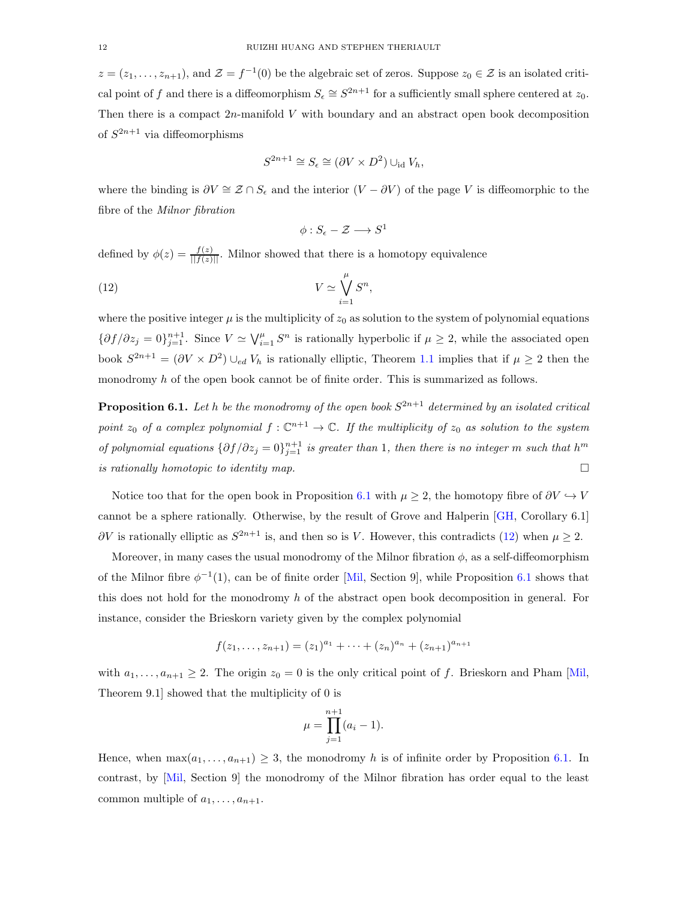$z=(z_1,\ldots,z_{n+1}),$  and  $\mathcal{Z}=f^{-1}(0)$  be the algebraic set of zeros. Suppose  $z_0\in\mathcal{Z}$  is an isolated critical point of f and there is a diffeomorphism  $S_{\epsilon} \cong S^{2n+1}$  for a sufficiently small sphere centered at  $z_0$ . Then there is a compact  $2n$ -manifold V with boundary and an abstract open book decomposition of  $S^{2n+1}$  via diffeomorphisms

$$
S^{2n+1} \cong S_{\epsilon} \cong (\partial V \times D^2) \cup_{\text{id}} V_h,
$$

where the binding is  $\partial V \cong \mathcal{Z} \cap S_{\epsilon}$  and the interior  $(V - \partial V)$  of the page V is diffeomorphic to the fibre of the Milnor fibration

<span id="page-11-1"></span>
$$
\phi: S_{\epsilon} - \mathcal{Z} \longrightarrow S^1
$$

defined by  $\phi(z) = \frac{f(z)}{||f(z)||}$ . Milnor showed that there is a homotopy equivalence

(12) 
$$
V \simeq \bigvee_{i=1}^{\mu} S^n,
$$

where the positive integer  $\mu$  is the multiplicity of  $z_0$  as solution to the system of polynomial equations  $\{\partial f/\partial z_j=0\}_{j=1}^{n+1}$ . Since  $V \simeq \bigvee_{i=1}^{\mu} S^n$  is rationally hyperbolic if  $\mu \geq 2$ , while the associated open book  $S^{2n+1} = (\partial V \times D^2) \cup_{ed} V_h$  is rationally elliptic, Theorem [1.1](#page-1-0) implies that if  $\mu \geq 2$  then the monodromy h of the open book cannot be of finite order. This is summarized as follows.

<span id="page-11-0"></span>**Proposition 6.1.** Let h be the monodromy of the open book  $S^{2n+1}$  determined by an isolated critical point  $z_0$  of a complex polynomial  $f: \mathbb{C}^{n+1} \to \mathbb{C}$ . If the multiplicity of  $z_0$  as solution to the system of polynomial equations  $\{\partial f/\partial z_j = 0\}_{j=1}^{n+1}$  is greater than 1, then there is no integer m such that  $h^m$ is rationally homotopic to identity map.  $\Box$ 

Notice too that for the open book in Proposition [6.1](#page-11-0) with  $\mu \geq 2$ , the homotopy fibre of  $\partial V \hookrightarrow V$ cannot be a sphere rationally. Otherwise, by the result of Grove and Halperin [\[GH,](#page-13-3) Corollary 6.1]  $\partial V$  is rationally elliptic as  $S^{2n+1}$  is, and then so is V. However, this contradicts [\(12\)](#page-11-1) when  $\mu \geq 2$ .

Moreover, in many cases the usual monodromy of the Milnor fibration  $\phi$ , as a self-diffeomorphism of the Milnor fibre  $\phi^{-1}(1)$ , can be of finite order [\[Mil,](#page-13-1) Section 9], while Proposition [6.1](#page-11-0) shows that this does not hold for the monodromy  $h$  of the abstract open book decomposition in general. For instance, consider the Brieskorn variety given by the complex polynomial

$$
f(z_1,\ldots,z_{n+1})=(z_1)^{a_1}+\cdots+(z_n)^{a_n}+(z_{n+1})^{a_{n+1}}
$$

with  $a_1, \ldots, a_{n+1} \geq 2$ . The origin  $z_0 = 0$  is the only critical point of f. Brieskorn and Pham [\[Mil,](#page-13-1) Theorem 9.1] showed that the multiplicity of 0 is

$$
\mu = \prod_{j=1}^{n+1} (a_i - 1).
$$

Hence, when  $\max(a_1, \ldots, a_{n+1}) \geq 3$ , the monodromy h is of infinite order by Proposition [6.1.](#page-11-0) In contrast, by [\[Mil,](#page-13-1) Section 9] the monodromy of the Milnor fibration has order equal to the least common multiple of  $a_1, \ldots, a_{n+1}$ .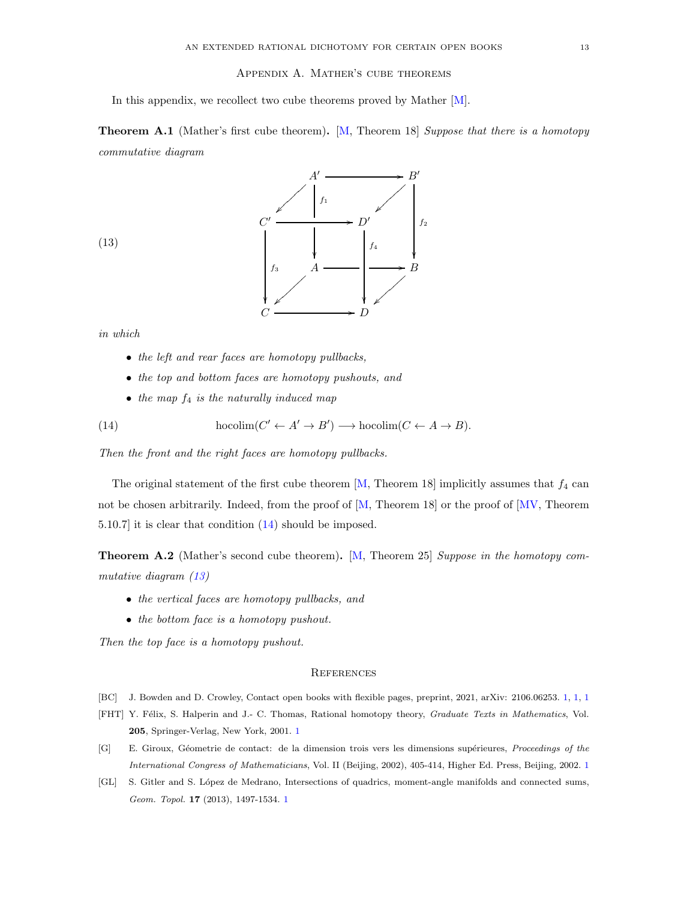### Appendix A. Mather's cube theorems

<span id="page-12-4"></span>In this appendix, we recollect two cube theorems proved by Mather [\[M\]](#page-13-4).

<span id="page-12-6"></span>Theorem A.1 (Mather's first cube theorem). [\[M,](#page-13-4) Theorem 18] Suppose that there is a homotopy commutative diagram



<span id="page-12-8"></span>(13)

in which

- the left and rear faces are homotopy pullbacks,
- the top and bottom faces are homotopy pushouts, and
- <span id="page-12-7"></span>• the map  $f_4$  is the naturally induced map

(14) 
$$
hocolim(C' \leftarrow A' \rightarrow B') \longrightarrow hocolim(C \leftarrow A \rightarrow B).
$$

Then the front and the right faces are homotopy pullbacks.

The original statement of the first cube theorem [\[M,](#page-13-4) Theorem 18] implicitly assumes that  $f_4$  can not be chosen arbitrarily. Indeed, from the proof of [\[M,](#page-13-4) Theorem 18] or the proof of [\[MV,](#page-13-5) Theorem 5.10.7] it is clear that condition [\(14\)](#page-12-7) should be imposed.

<span id="page-12-5"></span>Theorem A.2 (Mather's second cube theorem). [\[M,](#page-13-4) Theorem 25] Suppose in the homotopy commutative diagram [\(13\)](#page-12-8)

- the vertical faces are homotopy pullbacks, and
- the bottom face is a homotopy pushout.

Then the top face is a homotopy pushout.

### **REFERENCES**

- <span id="page-12-0"></span>[BC] J. Bowden and D. Crowley, Contact open books with flexible pages, preprint, 2021, arXiv: 2106.06253. [1,](#page-0-1) [1,](#page-0-0) [1](#page-1-0)
- <span id="page-12-3"></span>[FHT] Y. Félix, S. Halperin and J.- C. Thomas, Rational homotopy theory, Graduate Texts in Mathematics, Vol. 205, Springer-Verlag, New York, 2001. [1](#page-1-1)
- <span id="page-12-2"></span>[G] E. Giroux, Géometrie de contact: de la dimension trois vers les dimensions supérieures, Proceedings of the International Congress of Mathematicians, Vol. II (Beijing, 2002), 405-414, Higher Ed. Press, Beijing, 2002. [1](#page-0-0)
- <span id="page-12-1"></span>[GL] S. Gitler and S. López de Medrano, Intersections of quadrics, moment-angle manifolds and connected sums, Geom. Topol. 17 (2013), 1497-1534. [1](#page-0-0)